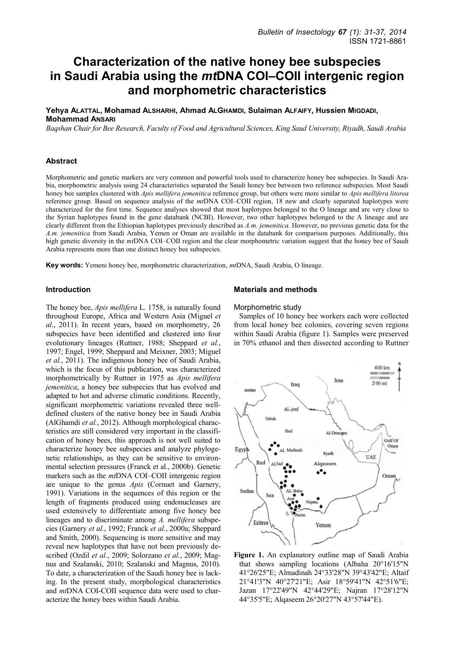# **Characterization of the native honey bee subspecies in Saudi Arabia using the** *mt***DNA COI–COII intergenic region and morphometric characteristics**

**Yehya ALATTAL, Mohamad ALSHARHI, Ahmad ALGHAMDI, Sulaiman ALFAIFY, Hussien MIGDADI, Mohammad ANSARI**

*Baqshan Chair for Bee Research, Faculty of Food and Agricultural Sciences, King Saud University, Riyadh, Saudi Arabia* 

#### **Abstract**

Morphometric and genetic markers are very common and powerful tools used to characterize honey bee subspecies. In Saudi Arabia, morphometric analysis using 24 characteristics separated the Saudi honey bee between two reference subspecies. Most Saudi honey bee samples clustered with *Apis mellifera jemenitica* reference group, but others were more similar to *Apis mellifera litorea* reference group. Based on sequence analysis of the *mt*DNA COI–COII region, 18 new and clearly separated haplotypes were characterized for the first time. Sequence analyses showed that most haplotypes belonged to the O lineage and are very close to the Syrian haplotypes found in the gene databank (NCBI). However, two other haplotypes belonged to the A lineage and are clearly different from the Ethiopian haplotypes previously described as *A.m. jemenitica*. However, no previous genetic data for the *A.m. jemenitica* from Saudi Arabia, Yemen or Oman are available in the databank for comparison purposes. Additionally, this high genetic diversity in the *mt*DNA COI–COII region and the clear morphometric variation suggest that the honey bee of Saudi Arabia represents more than one distinct honey bee subspecies.

**Key words:** Yemeni honey bee, morphometric characterization, *mt*DNA, Saudi Arabia, O lineage.

### **Introduction**

The honey bee, *Apis mellifera* L. 1758, is naturally found throughout Europe, Africa and Western Asia (Miguel *et al*., 2011). In recent years, based on morphometry, 26 subspecies have been identified and clustered into four evolutionary lineages (Ruttner, 1988; Sheppard *et al.*, 1997; Engel, 1999; Sheppard and Meixner, 2003; Miguel *et al.*, 2011). The indigenous honey bee of Saudi Arabia, which is the focus of this publication, was characterized morphometrically by Ruttner in 1975 as *Apis mellifera jemenitica*, a honey bee subspecies that has evolved and adapted to hot and adverse climatic conditions. Recently, significant morphometric variations revealed three welldefined clusters of the native honey bee in Saudi Arabia (AlGhamdi *et al.*, 2012). Although morphological characteristics are still considered very important in the classification of honey bees, this approach is not well suited to characterize honey bee subspecies and analyze phylogenetic relationships, as they can be sensitive to environmental selection pressures (Franck et al., 2000b). Genetic markers such as the *mt*DNA COI–COII intergenic region are unique to the genus *Apis* (Cornuet and Garnery, 1991). Variations in the sequences of this region or the length of fragments produced using endonucleases are used extensively to differentiate among five honey bee lineages and to discriminate among *A. mellifera* subspecies (Garnery *et al.*, 1992; Franck *et al.*, 2000a; Sheppard and Smith, 2000). Sequencing is more sensitive and may reveal new haplotypes that have not been previously described (Ozdil *et al.*, 2009; Solorzano *et al.*, 2009; Magnus and Szalanski, 2010; Szalanski and Magnus, 2010). To date, a characterization of the Saudi honey bee is lacking. In the present study, morphological characteristics and *mt*DNA COI-COII sequence data were used to characterize the honey bees within Saudi Arabia.

#### **Materials and methods**

#### Morphometric study

Samples of 10 honey bee workers each were collected from local honey bee colonies, covering seven regions within Saudi Arabia (figure 1). Samples were preserved in 70% ethanol and then dissected according to Ruttner



**Figure 1.** An explanatory outline map of Saudi Arabia that shows sampling locations (Albaha 20°16'15"N 41°26'25"E; Almadinah 24°33'28"N 39°43'42"E; Altaif 21°41'3"N 40°27'21"E; Asir 18°59'41"N 42°51'6"E; Jazan 17°22'49"N 42°44'29"E; Najran 17°28'12"N 44°35'5"E; Alqaseem 26°20'27"N 43°57'44"E).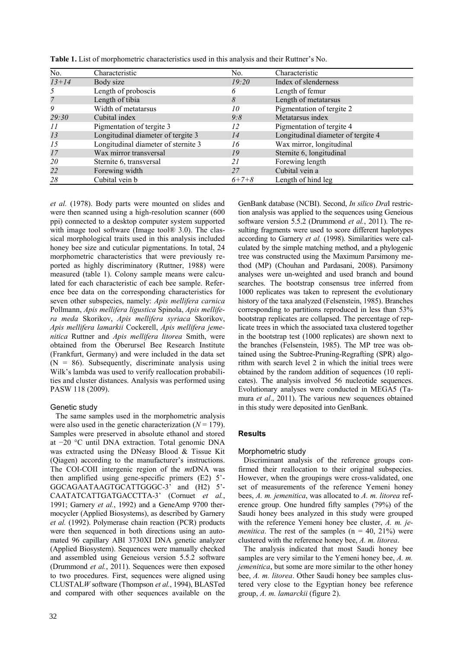| No.       | Characteristic                      | No.         | Characteristic                     |
|-----------|-------------------------------------|-------------|------------------------------------|
| $13 + 14$ | Body size                           | 19:20       | Index of slenderness               |
|           | Length of proboscis                 | 6           | Length of femur                    |
|           | Length of tibia                     | 8           | Length of metatarsus               |
| 9         | Width of metatarsus                 | 10          | Pigmentation of tergite 2          |
| 29:30     | Cubital index                       | 9:8         | Metatarsus index                   |
| 11        | Pigmentation of tergite 3           | 12          | Pigmentation of tergite 4          |
| 13        | Longitudinal diameter of tergite 3  | 14          | Longitudinal diameter of tergite 4 |
| 15        | Longitudinal diameter of sternite 3 | 16          | Wax mirror, longitudinal           |
| 17        | Wax mirror transversal              | 19          | Sternite 6, longitudinal           |
| 20        | Sternite 6, transversal             | 21          | Forewing length                    |
| 22        | Forewing width                      | 27          | Cubital vein a                     |
| 28        | Cubital vein b                      | $6 + 7 + 8$ | Length of hind leg                 |

**Table 1.** List of morphometric characteristics used in this analysis and their Ruttner's No.

*et al.* (1978). Body parts were mounted on slides and were then scanned using a high-resolution scanner (600 ppi) connected to a desktop computer system supported with image tool software (Image tool® 3.0). The classical morphological traits used in this analysis included honey bee size and cuticular pigmentations. In total, 24 morphometric characteristics that were previously reported as highly discriminatory (Ruttner, 1988) were measured (table 1). Colony sample means were calculated for each characteristic of each bee sample. Reference bee data on the corresponding characteristics for seven other subspecies, namely: *Apis mellifera carnica* Pollmann, *Apis mellifera ligustica* Spinola, *Apis mellifera meda* Skorikov, *Apis mellifera syriaca* Skorikov, *Apis mellifera lamarkii* Cockerell, *Apis mellifera jemenitica* Ruttner and *Apis mellifera litorea* Smith, were obtained from the Oberursel Bee Research Institute (Frankfurt, Germany) and were included in the data set  $(N = 86)$ . Subsequently, discriminate analysis using Wilk's lambda was used to verify reallocation probabilities and cluster distances. Analysis was performed using PASW 118 (2009).

# Genetic study

The same samples used in the morphometric analysis were also used in the genetic characterization  $(N = 179)$ . Samples were preserved in absolute ethanol and stored at −20 °C until DNA extraction. Total genomic DNA was extracted using the DNeasy Blood & Tissue Kit (Qiagen) according to the manufacturer's instructions. The COI-COII intergenic region of the *mt*DNA was then amplified using gene-specific primers (E2) 5'- GGCAGAATAAGTGCATTGGGC-3' and (H2) 5'- CAATATCATTGATGACCTTA-3' (Cornuet *et al.*, 1991; Garnery *et al.*, 1992) and a GeneAmp 9700 thermocycler (Applied Biosystems), as described by Garnery *et al.* (1992). Polymerase chain reaction (PCR) products were then sequenced in both directions using an automated 96 capillary ABI 3730XI DNA genetic analyzer (Applied Biosystem). Sequences were manually checked and assembled using Geneious version 5.5.2 software (Drummond *et al.*, 2011). Sequences were then exposed to two procedures. First, sequences were aligned using CLUSTAL*W* software (Thompson *et al.*, 1994), BLASTed and compared with other sequences available on the

tion analysis was applied to the sequences using Geneious software version 5.5.2 (Drummond *et al.*, 2011). The resulting fragments were used to score different haplotypes according to Garnery *et al.* (1998). Similarities were calculated by the simple matching method, and a phylogenic tree was constructed using the Maximum Parsimony method (MP) (Chouhan and Pardasani, 2008). Parsimony analyses were un-weighted and used branch and bound searches. The bootstrap consensus tree inferred from 1000 replicates was taken to represent the evolutionary history of the taxa analyzed (Felsenstein, 1985). Branches corresponding to partitions reproduced in less than 53% bootstrap replicates are collapsed. The percentage of replicate trees in which the associated taxa clustered together in the bootstrap test (1000 replicates) are shown next to the branches (Felsenstein, 1985). The MP tree was obtained using the Subtree-Pruning-Regrafting (SPR) algorithm with search level 2 in which the initial trees were obtained by the random addition of sequences (10 replicates). The analysis involved 56 nucleotide sequences. Evolutionary analyses were conducted in MEGA5 (Tamura *et al*., 2011). The various new sequences obtained in this study were deposited into GenBank.

GenBank database (NCBI). Second, *In silico Dra*I restric-

# **Results**

#### Morphometric study

Discriminant analysis of the reference groups confirmed their reallocation to their original subspecies. However, when the groupings were cross-validated, one set of measurements of the reference Yemeni honey bees, *A. m. jemenitica*, was allocated to *A. m. litorea* reference group. One hundred fifty samples (79%) of the Saudi honey bees analyzed in this study were grouped with the reference Yemeni honey bee cluster, *A. m. jemenitica*. The rest of the samples  $(n = 40, 21\%)$  were clustered with the reference honey bee, *A. m. litorea*.

The analysis indicated that most Saudi honey bee samples are very similar to the Yemeni honey bee, *A. m. jemenitica*, but some are more similar to the other honey bee, *A. m. litorea*. Other Saudi honey bee samples clustered very close to the Egyptian honey bee reference group, *A. m. lamarckii* (figure 2).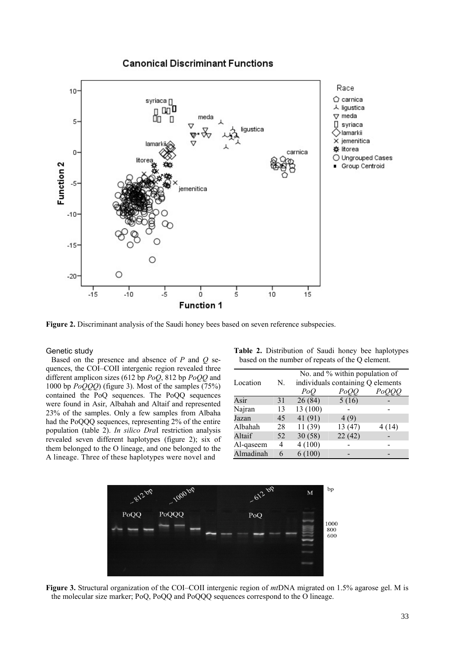# **Canonical Discriminant Functions**



**Figure 2.** Discriminant analysis of the Saudi honey bees based on seven reference subspecies.

#### Genetic study

Based on the presence and absence of *P* and *Q* sequences, the COI–COII intergenic region revealed three different amplicon sizes (612 bp *PoQ*, 812 bp *PoQQ* and 1000 bp *PoQQQ*) (figure 3). Most of the samples (75%) contained the PoQ sequences. The PoQQ sequences were found in Asir, Albahah and Altaif and represented 23% of the samples. Only a few samples from Albaha had the PoQQQ sequences, representing 2% of the entire population (table 2). *In silico Dra*I restriction analysis revealed seven different haplotypes (figure 2); six of them belonged to the O lineage, and one belonged to the A lineage. Three of these haplotypes were novel and

**Table 2.** Distribution of Saudi honey bee haplotypes based on the number of repeats of the Q element.

| Location  | N. | No. and % within population of<br>individuals containing Q elements |         |        |  |  |  |  |
|-----------|----|---------------------------------------------------------------------|---------|--------|--|--|--|--|
|           |    | PoO                                                                 | PoO     | $P$ o  |  |  |  |  |
| Asir      | 31 | 26(84)                                                              | 5(16)   |        |  |  |  |  |
| Najran    | 13 | 13 (100)                                                            |         |        |  |  |  |  |
| Jazan     | 45 | 41 (91)                                                             | 4(9)    |        |  |  |  |  |
| Albahah   | 28 | 11(39)                                                              | 13 (47) | 4 (14) |  |  |  |  |
| Altaif    | 52 | 30(58)                                                              | 22(42)  |        |  |  |  |  |
| Al-qaseem | 4  | 4(100)                                                              |         |        |  |  |  |  |
| Almadinah | 6  | 6(100)                                                              |         |        |  |  |  |  |



**Figure 3.** Structural organization of the COI–COII intergenic region of *mt*DNA migrated on 1.5% agarose gel. M is the molecular size marker; PoQ, PoQQ and PoQQQ sequences correspond to the O lineage.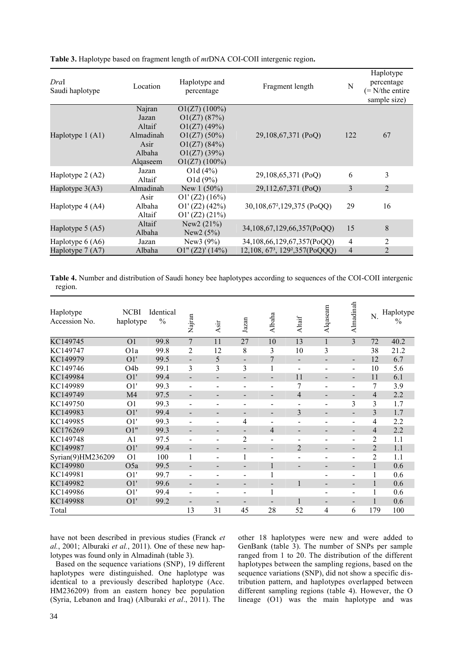| DraI<br>Saudi haplotype | Haplotype and<br>Location<br>Fragment length<br>percentage |                  |                                                         | N              | Haplotype<br>percentage<br>$(= N/$ the entire<br>sample size) |  |
|-------------------------|------------------------------------------------------------|------------------|---------------------------------------------------------|----------------|---------------------------------------------------------------|--|
|                         | Najran                                                     | $O1(Z7)$ (100%)  |                                                         |                |                                                               |  |
|                         | Jazan                                                      | O1(Z7)(87%)      |                                                         | 122            |                                                               |  |
|                         | Altaif                                                     | O1(Z7)(49%)      |                                                         |                |                                                               |  |
| Haplotype $1(A1)$       | Almadinah                                                  | $O1(Z7)(50\%)$   | 29,108,67,371 (PoQ)                                     |                | 67                                                            |  |
|                         | O1(Z7)(84%)<br>Asir                                        |                  |                                                         |                |                                                               |  |
|                         | Albaha                                                     | O1(Z7)(39%)      |                                                         |                |                                                               |  |
|                         | Alqaseem                                                   | $O1(Z7)$ (100%)  |                                                         |                |                                                               |  |
| Haplotype 2 (A2)        | Jazan                                                      | O1d(4%)          | 29,108,65,371 (PoQ)                                     | 6              | 3                                                             |  |
|                         | Altaif                                                     | O1d(9%)          |                                                         |                |                                                               |  |
| Haplotype $3(A3)$       | Almadinah                                                  | New $1(50\%)$    | 29,112,67,371 (PoQ)                                     | 3              | $\overline{2}$                                                |  |
|                         | Asir                                                       | O1' (Z2) (16%)   |                                                         |                |                                                               |  |
| Haplotype 4 (A4)        | Albaha                                                     | O1' (Z2) (42%)   | 30,108,67 <sup>2</sup> ,129,375 (PoQQ)                  | 29             | 16                                                            |  |
|                         | Altaif                                                     | O1' (Z2) (21%)   |                                                         |                |                                                               |  |
|                         | Altaif                                                     | New $2(21%)$     |                                                         |                |                                                               |  |
| Haplotype $5(A5)$       | Albaha                                                     | New $2(5%)$      | 34,108,67,129,66,357(PoQQ)                              | 15             | $8\,$                                                         |  |
| Haplotype $6(A6)$       | Jazan                                                      | New $3(9\%)$     | 34,108,66,129,67,357(PoQQ)                              | $\overline{4}$ | 2                                                             |  |
| Haplotype 7 (A7)        | Albaha                                                     | O1'' (Z2)' (14%) | 12,108, 67 <sup>3</sup> , 129 <sup>2</sup> , 357(PoQQQ) | $\overline{4}$ | $\overline{2}$                                                |  |

**Table 3.** Haplotype based on fragment length of *mt*DNA COI-COII intergenic region**.** 

**Table 4.** Number and distribution of Saudi honey bee haplotypes according to sequences of the COI-COII intergenic region.

| Haplotype<br>Accession No. | <b>NCBI</b><br>haplotype | Identical<br>$\frac{0}{0}$ | Najran                   | Asir                     | Jazan                    | Albaha                       | Altaif         | Alqaseam                 | Almadinah                    | N.             | Haplotype<br>$\frac{0}{0}$ |
|----------------------------|--------------------------|----------------------------|--------------------------|--------------------------|--------------------------|------------------------------|----------------|--------------------------|------------------------------|----------------|----------------------------|
| KC149745                   | O <sub>1</sub>           | 99.8                       | $\overline{7}$           | 11                       | 27                       | 10                           | 13             | $\mathbf{1}$             | 3                            | 72             | 40.2                       |
| KC149747                   | O <sub>1</sub> a         | 99.8                       | 2                        | 12                       | 8                        | 3                            | 10             | 3                        |                              | 38             | 21.2                       |
| KC149979                   | O1'                      | 99.5                       | $\blacksquare$           | 5                        | $\overline{\phantom{0}}$ | 7                            | -              | $\overline{\phantom{0}}$ | $\overline{\phantom{0}}$     | 12             | 6.7                        |
| KC149746                   | O <sub>4</sub> b         | 99.1                       | 3                        | 3                        | 3                        | $\mathbf{1}$                 | -              | $\overline{\phantom{0}}$ | $\overline{\phantom{0}}$     | 10             | 5.6                        |
| KC149984                   | O1'                      | 99.4                       | $\overline{\phantom{0}}$ | $\overline{\phantom{a}}$ | $\overline{\phantom{0}}$ | -                            | 11             | $\overline{\phantom{0}}$ | $\overline{\phantom{0}}$     | 11             | 6.1                        |
| KC149989                   | O1'                      | 99.3                       | $\overline{\phantom{a}}$ | ٠                        |                          | $\overline{a}$               | 7              | $\overline{\phantom{0}}$ | $\qquad \qquad \blacksquare$ | 7              | 3.9                        |
| KC149749                   | M <sub>4</sub>           | 97.5                       | $\overline{\phantom{0}}$ | $\overline{\phantom{0}}$ |                          | -                            | $\overline{4}$ | $\overline{\phantom{0}}$ | $\overline{\phantom{a}}$     | 4              | 2.2                        |
| KC149750                   | O <sub>1</sub>           | 99.3                       |                          |                          |                          | $\overline{\phantom{0}}$     | -              | $\overline{\phantom{0}}$ | 3                            | 3              | 1.7                        |
| KC149983                   | O1'                      | 99.4                       | $\overline{\phantom{0}}$ | $\blacksquare$           | $\overline{\phantom{a}}$ | $\blacksquare$               | 3              | $\overline{\phantom{a}}$ | $\overline{\phantom{a}}$     | 3              | 1.7                        |
| KC149985                   | O1'                      | 99.3                       | $\blacksquare$           | $\overline{\phantom{0}}$ | 4                        | $\qquad \qquad \blacksquare$ | -              | $\overline{\phantom{a}}$ | $\qquad \qquad \blacksquare$ | 4              | 2.2                        |
| KC176269                   | O1"                      | 99.3                       | $\overline{\phantom{a}}$ | $\overline{\phantom{a}}$ | $\overline{\phantom{a}}$ | 4                            | -              | $\overline{\phantom{a}}$ | $\overline{\phantom{a}}$     | $\overline{4}$ | 2.2                        |
| KC149748                   | A <sub>1</sub>           | 97.5                       | $\blacksquare$           | $\overline{\phantom{a}}$ | 2                        | $\overline{\phantom{a}}$     | -              | $\overline{\phantom{a}}$ | $\qquad \qquad \blacksquare$ | $\overline{2}$ | 1.1                        |
| KC149987                   | O1'                      | 99.4                       | $\overline{\phantom{a}}$ | $\blacksquare$           | $\blacksquare$           | $\blacksquare$               | $\overline{2}$ | $\blacksquare$           | $\blacksquare$               | $\overline{2}$ | 1.1                        |
| Syrian(9)HM236209          | O <sub>1</sub>           | 100                        |                          | $\overline{\phantom{0}}$ |                          | $\qquad \qquad \blacksquare$ | -              | $\overline{\phantom{0}}$ | $\qquad \qquad \blacksquare$ | $\overline{2}$ | 1.1                        |
| KC149980                   | O <sub>5</sub> a         | 99.5                       | $\overline{\phantom{a}}$ | $\blacksquare$           | $\overline{\phantom{a}}$ | 1                            | -              | $\overline{\phantom{a}}$ | $\blacksquare$               | $\mathbf{1}$   | 0.6                        |
| KC149981                   | O1'                      | 99.7                       | $\overline{\phantom{a}}$ | $\overline{\phantom{a}}$ | -                        |                              |                | $\overline{\phantom{a}}$ | $\blacksquare$               |                | 0.6                        |
| KC149982                   | O1'                      | 99.6                       | $\overline{\phantom{a}}$ | $\overline{\phantom{a}}$ | -                        | $\overline{\phantom{a}}$     | 1              | $\overline{\phantom{a}}$ | $\overline{\phantom{a}}$     | $\mathbf{1}$   | 0.6                        |
| KC149986                   | O1'                      | 99.4                       | $\overline{\phantom{a}}$ | $\overline{\phantom{0}}$ | -                        | ı                            |                | $\overline{\phantom{0}}$ | $\overline{\phantom{a}}$     |                | 0.6                        |
| KC149988                   | O1'                      | 99.2                       | $\overline{\phantom{a}}$ | $\overline{\phantom{a}}$ | $\overline{\phantom{a}}$ | $\overline{\phantom{a}}$     | 1              | $\overline{\phantom{a}}$ | $\blacksquare$               | 1              | 0.6                        |
| Total                      |                          |                            | 13                       | 31                       | 45                       | 28                           | 52             | 4                        | 6                            | 179            | 100                        |

have not been described in previous studies (Franck *et al.*, 2001; Alburaki *et al.*, 2011). One of these new haplotypes was found only in Almadinah (table 3).

Based on the sequence variations (SNP), 19 different haplotypes were distinguished. One haplotype was identical to a previously described haplotype (Acc. HM236209) from an eastern honey bee population (Syria, Lebanon and Iraq) (Alburaki *et al*., 2011). The other 18 haplotypes were new and were added to GenBank (table 3). The number of SNPs per sample ranged from 1 to 20. The distribution of the different haplotypes between the sampling regions, based on the sequence variations (SNP), did not show a specific distribution pattern, and haplotypes overlapped between different sampling regions (table 4). However, the O lineage (O1) was the main haplotype and was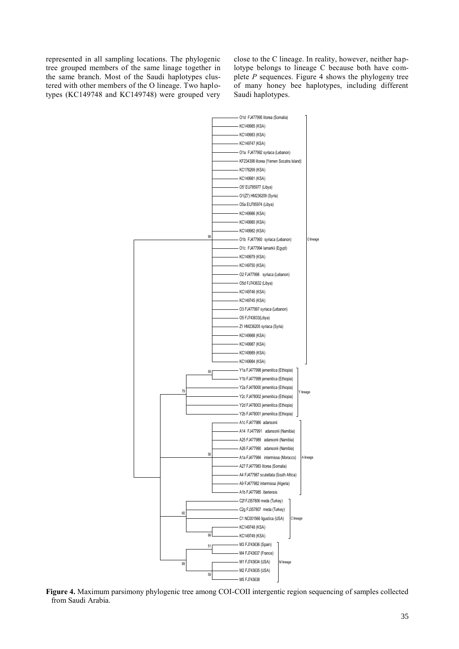represented in all sampling locations. The phylogenic tree grouped members of the same linage together in the same branch. Most of the Saudi haplotypes clustered with other members of the O lineage. Two haplotypes (KC149748 and KC149748) were grouped very

close to the C lineage. In reality, however, neither haplotype belongs to lineage C because both have complete *P* sequences. Figure 4 shows the phylogeny tree of many honey bee haplotypes, including different Saudi haplotypes.



**Figure 4.** Maximum parsimony phylogenic tree among COI-COII intergentic region sequencing of samples collected from Saudi Arabia.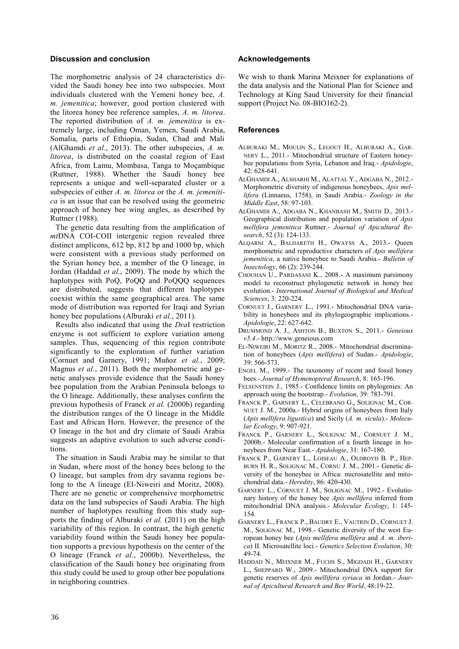#### **Discussion and conclusion**

The morphometric analysis of 24 characteristics divided the Saudi honey bee into two subspecies. Most individuals clustered with the Yemeni honey bee, *A. m. jemenitica*; however, good portion clustered with the litorea honey bee reference samples, *A. m. litorea*. The reported distribution of *A. m. jemenitica* is extremely large, including Oman, Yemen, Saudi Arabia, Somalia, parts of Ethiopia, Sudan, Chad and Mali (AlGhamdi *et al*., 2013). The other subspecies, *A. m. litorea*, is distributed on the coastal region of East Africa, from Lamu, Mombasa, Tanga to Moçambique (Ruttner, 1988). Whether the Saudi honey bee represents a unique and well-separated cluster or a subspecies of either *A. m. litorea* or the *A. m. jemenitica* is an issue that can be resolved using the geometric approach of honey bee wing angles, as described by Ruttner (1988).

The genetic data resulting from the amplification of *mt*DNA COI-COII intergenic region revealed three distinct amplicons, 612 bp, 812 bp and 1000 bp, which were consistent with a previous study performed on the Syrian honey bee, a member of the O lineage, in Jordan (Haddad *et al.*, 2009). The mode by which the haplotypes with PoQ, PoQQ and PoQQQ sequences are distributed, suggests that different haplotypes coexist within the same geographical area. The same mode of distribution was reported for Iraqi and Syrian honey bee populations (Alburaki *et al.*, 2011).

Results also indicated that using the *Dra*I restriction enzyme is not sufficient to explore variation among samples. Thus, sequencing of this region contribute significantly to the exploration of further variation (Cornuet and Garnery, 1991; Muñoz *et al.*, 2009; Magnus *et al.*, 2011). Both the morphometric and genetic analyses provide evidence that the Saudi honey bee population from the Arabian Peninsula belongs to the O lineage. Additionally, these analyses confirm the previous hypothesis of Franck *et al.* (2000b) regarding the distribution ranges of the O lineage in the Middle East and African Horn. However, the presence of the O lineage in the hot and dry climate of Saudi Arabia suggests an adaptive evolution to such adverse conditions.

The situation in Saudi Arabia may be similar to that in Sudan, where most of the honey bees belong to the O lineage, but samples from dry savanna regions belong to the A lineage (El-Niweiri and Moritz, 2008). There are no genetic or comprehensive morphometric data on the land subspecies of Saudi Arabia. The high number of haplotypes resulting from this study supports the finding of Alburaki *et al.* (2011) on the high variability of this region. In contrast, the high genetic variability found within the Saudi honey bee population supports a previous hypothesis on the center of the O lineage (Franck *et al.*, 2000b). Nevertheless, the classification of the Saudi honey bee originating from this study could be used to group other bee populations in neighboring countries.

# **Acknowledgements**

We wish to thank Marina Meixner for explanations of the data analysis and the National Plan for Science and Technology at King Saud University for their financial support (Project No. 08-BIO162-2).

# **References**

- ALBURAKI M., MOULIN S., LEGOUT H., ALBURAKI A., GAR-NERY L., 2011.- Mitochondrial structure of Eastern honeybee populations from Syria, Lebanon and Iraq.- *Apidologie*, 42: 628-641.
- ALGHAMDI A., ALSHARHI M., ALATTAL Y., ADGABA N., 2012.- Morphometric diversity of indigenous honeybees, *Apis mellifera* (Linnaeus, 1758), in Saudi Arabia.- *Zoology in the Middle East*, 58: 97-103.
- ALGHAMDI A., ADGABA N., KHANBASH M., SMITH D., 2013.- Geographical distribution and population variation of *Apis mellifera jemenitica* Ruttner.- *Journal of Apicultural Research*, 52 (3): 124-133.
- ALQARNI A., BALHARETH H., OWAYSS A., 2013.- Queen morphometric and reproductive characters of *Apis mellifera jemenitica*, a native honeybee to Saudi Arabia.- *Bulletin of Insectology*, 66 (2): 239-244.
- CHOUHAN U., PARDASANI K., 2008.- A maximum parsimony model to reconstruct phylogenetic network in honey bee evolution.- *International Journal of Biological and Medical Sciences*, 3: 220-224.
- CORNUET J., GARNERY L., 1991.- Mitochondrial DNA variability in honeybees and its phylogeographic implications.- *Apidologie*, 22: 627-642.
- DRUMMOND A. J., ASHTON B., BUXTON S., 2011.- *Geneious v5.4*.- http://www.geneious.com
- EL-NIWEIRI M., MORITZ R., 2008.- Mitochondrial discrimination of honeybees (*Apis mellifera*) of Sudan.- *Apidologie*, 39: 566-573.
- ENGEL M., 1999.- The taxonomy of recent and fossil honey bees.- *Journal of Hymenopteral Research*, 8: 165-196.
- FELSENSTEIN J., 1985.- Confidence limits on phylogenies: An approach using the bootstrap.- *Evolution*, 39: 783-791.
- FRANCK P., GARNERY L., CELEBRANO G., SOLIGNAC M., COR-NUET J. M., 2000a.- Hybrid origins of honeybees from Italy (*Apis mellifera ligustica*) and Sicily (*A. m. sicula*).- *Molecular Ecology*, 9: 907-921.
- FRANCK P., GARNERY L., SOLIGNAC M., CORNUET J. M., 2000b.- Molecular confirmation of a fourth lineage in honeybees from Near East.- *Apidologie*, 31: 167-180.
- FRANCK P., GARNERY L., LOISEAU A., OLDROYD B. P., HEP-BURN H. R., SOLIGNAC M., CORNU J. M., 2001.- Genetic diversity of the honeybee in Africa: microsatellite and mitochondrial data.- *Heredity*, 86: 420-430.
- GARNERY L., CORNUET J. M., SOLIGNAC M., 1992.- Evolutionary history of the honey bee *Apis mellifera* inferred from mitochondrial DNA analysis.- *Molecular Ecology*, 1: 145- 154.
- GARNERY L., FRANCK P., BAUDRY E., VAUTRIN D., CORNUET J. M., SOLIGNAC M., 1998.- Genetic diversity of the west European honey bee (*Apis mellifera mellifera* and *A. m. iberica*) II. Microsatellite loci.- *Genetics Selection Evolution*, 30: 49-74.
- HADDAD N., MEIXNER M., FUCHS S., MIGDADI H., GARNERY L., SHEPPARD W., 2009.- Mitochondrial DNA support for genetic reserves of *Apis mellifera syriaca* in Jordan.- *Journal of Apicultural Research and Bee World*, 48:19-22.